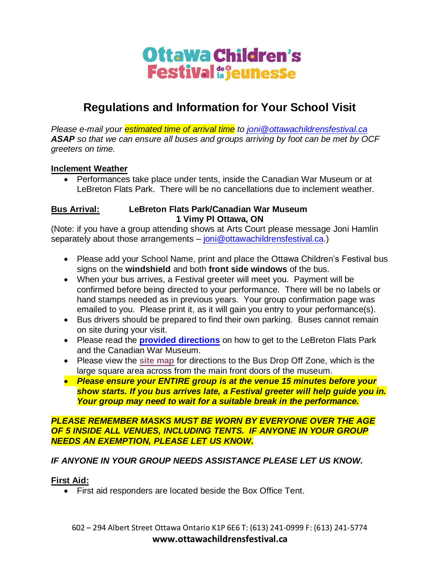# Ottawa Children's **Festival de jeunesse**

# **Regulations and Information for Your School Visit**

*Please e-mail your estimated time of arrival time to [joni@ottawachildrensfestival.ca](mailto:joni@ottawachildrensfestival.ca) ASAP so that we can ensure all buses and groups arriving by foot can be met by OCF greeters on time.*

### **Inclement Weather**

• Performances take place under tents, inside the Canadian War Museum or at LeBreton Flats Park. There will be no cancellations due to inclement weather.

#### **Bus Arrival: LeBreton Flats Park/Canadian War Museum 1 Vimy Pl Ottawa, ON**

(Note: if you have a group attending shows at Arts Court please message Joni Hamlin separately about those arrangements – [joni@ottawachildrensfestival.ca.](mailto:joni@ottawachildrensfestival.ca))

- Please add your School Name, print and place the Ottawa Children's Festival bus signs on the **windshield** and both **front side windows** of the bus.
- When your bus arrives, a Festival greeter will meet you. Payment will be confirmed before being directed to your performance. There will be no labels or hand stamps needed as in previous years. Your group confirmation page was emailed to you. Please print it, as it will gain you entry to your performance(s).
- Bus drivers should be prepared to find their own parking. Buses cannot remain on site during your visit.
- Please read the **[provided directions](https://ottawachildrensfestival.ca/getting-there/)** on how to get to the LeBreton Flats Park and the Canadian War Museum.
- Please view the **site [map](http://ottawachildrensfestival.ca/wp-content/uploads/2022/05/Bilingual-Map_2022.jpg)** for directions to the Bus Drop Off Zone, which is the large square area across from the main front doors of the museum.
- *Please ensure your ENTIRE group is at the venue 15 minutes before your show starts. If you bus arrives late, a Festival greeter will help guide you in. Your group may need to wait for a suitable break in the performance.*

### *PLEASE REMEMBER MASKS MUST BE WORN BY EVERYONE OVER THE AGE OF 5 INSIDE ALL VENUES, INCLUDING TENTS. IF ANYONE IN YOUR GROUP NEEDS AN EXEMPTION, PLEASE LET US KNOW.*

# *IF ANYONE IN YOUR GROUP NEEDS ASSISTANCE PLEASE LET US KNOW.*

# **First Aid:**

• First aid responders are located beside the Box Office Tent.

602 – 294 Albert Street Ottawa Ontario K1P 6E6 T: (613) 241-0999 F: (613) 241-5774 **www.ottawachildrensfestival.ca**